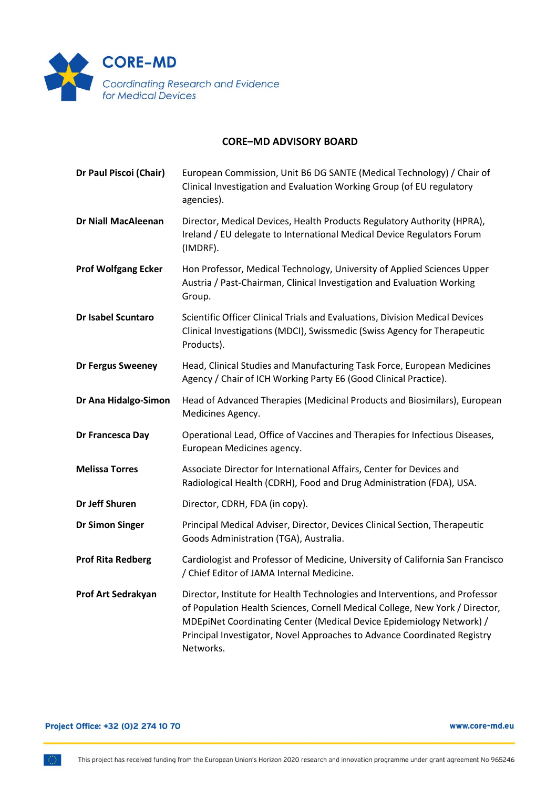

## **CORE–MD ADVISORY BOARD**

| Dr Paul Piscoi (Chair)     | European Commission, Unit B6 DG SANTE (Medical Technology) / Chair of<br>Clinical Investigation and Evaluation Working Group (of EU regulatory<br>agencies).                                                                                                                                                                  |
|----------------------------|-------------------------------------------------------------------------------------------------------------------------------------------------------------------------------------------------------------------------------------------------------------------------------------------------------------------------------|
| <b>Dr Niall MacAleenan</b> | Director, Medical Devices, Health Products Regulatory Authority (HPRA),<br>Ireland / EU delegate to International Medical Device Regulators Forum<br>(IMDRF).                                                                                                                                                                 |
| <b>Prof Wolfgang Ecker</b> | Hon Professor, Medical Technology, University of Applied Sciences Upper<br>Austria / Past-Chairman, Clinical Investigation and Evaluation Working<br>Group.                                                                                                                                                                   |
| <b>Dr Isabel Scuntaro</b>  | Scientific Officer Clinical Trials and Evaluations, Division Medical Devices<br>Clinical Investigations (MDCI), Swissmedic (Swiss Agency for Therapeutic<br>Products).                                                                                                                                                        |
| Dr Fergus Sweeney          | Head, Clinical Studies and Manufacturing Task Force, European Medicines<br>Agency / Chair of ICH Working Party E6 (Good Clinical Practice).                                                                                                                                                                                   |
| Dr Ana Hidalgo-Simon       | Head of Advanced Therapies (Medicinal Products and Biosimilars), European<br>Medicines Agency.                                                                                                                                                                                                                                |
| Dr Francesca Day           | Operational Lead, Office of Vaccines and Therapies for Infectious Diseases,<br>European Medicines agency.                                                                                                                                                                                                                     |
| <b>Melissa Torres</b>      | Associate Director for International Affairs, Center for Devices and<br>Radiological Health (CDRH), Food and Drug Administration (FDA), USA.                                                                                                                                                                                  |
| Dr Jeff Shuren             | Director, CDRH, FDA (in copy).                                                                                                                                                                                                                                                                                                |
| <b>Dr Simon Singer</b>     | Principal Medical Adviser, Director, Devices Clinical Section, Therapeutic<br>Goods Administration (TGA), Australia.                                                                                                                                                                                                          |
| <b>Prof Rita Redberg</b>   | Cardiologist and Professor of Medicine, University of California San Francisco<br>/ Chief Editor of JAMA Internal Medicine.                                                                                                                                                                                                   |
| Prof Art Sedrakyan         | Director, Institute for Health Technologies and Interventions, and Professor<br>of Population Health Sciences, Cornell Medical College, New York / Director,<br>MDEpiNet Coordinating Center (Medical Device Epidemiology Network) /<br>Principal Investigator, Novel Approaches to Advance Coordinated Registry<br>Networks. |

## Project Office: +32 (0)2 274 10 70

www.core-md.eu